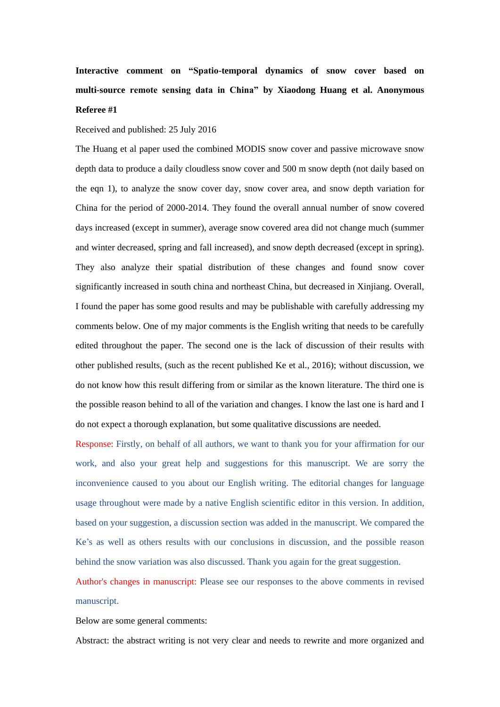**Interactive comment on "Spatio-temporal dynamics of snow cover based on multi-source remote sensing data in China" by Xiaodong Huang et al. Anonymous Referee #1**

#### Received and published: 25 July 2016

The Huang et al paper used the combined MODIS snow cover and passive microwave snow depth data to produce a daily cloudless snow cover and 500 m snow depth (not daily based on the eqn 1), to analyze the snow cover day, snow cover area, and snow depth variation for China for the period of 2000-2014. They found the overall annual number of snow covered days increased (except in summer), average snow covered area did not change much (summer and winter decreased, spring and fall increased), and snow depth decreased (except in spring). They also analyze their spatial distribution of these changes and found snow cover significantly increased in south china and northeast China, but decreased in Xinjiang. Overall, I found the paper has some good results and may be publishable with carefully addressing my comments below. One of my major comments is the English writing that needs to be carefully edited throughout the paper. The second one is the lack of discussion of their results with other published results, (such as the recent published Ke et al., 2016); without discussion, we do not know how this result differing from or similar as the known literature. The third one is the possible reason behind to all of the variation and changes. I know the last one is hard and I do not expect a thorough explanation, but some qualitative discussions are needed.

Response: Firstly, on behalf of all authors, we want to thank you for your affirmation for our work, and also your great help and suggestions for this manuscript. We are sorry the inconvenience caused to you about our English writing. The editorial changes for language usage throughout were made by a native English scientific editor in this version. In addition, based on your suggestion, a discussion section was added in the manuscript. We compared the Ke's as well as others results with our conclusions in discussion, and the possible reason behind the snow variation was also discussed. Thank you again for the great suggestion.

Author's changes in manuscript: Please see our responses to the above comments in revised manuscript.

Below are some general comments:

Abstract: the abstract writing is not very clear and needs to rewrite and more organized and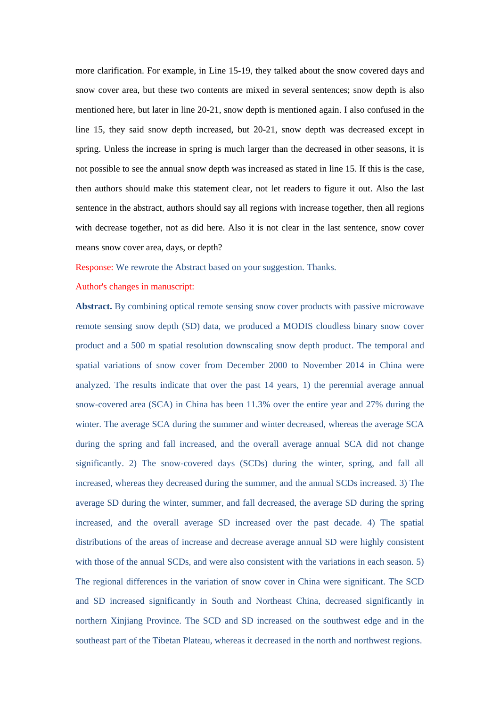more clarification. For example, in Line 15-19, they talked about the snow covered days and snow cover area, but these two contents are mixed in several sentences; snow depth is also mentioned here, but later in line 20-21, snow depth is mentioned again. I also confused in the line 15, they said snow depth increased, but 20-21, snow depth was decreased except in spring. Unless the increase in spring is much larger than the decreased in other seasons, it is not possible to see the annual snow depth was increased as stated in line 15. If this is the case, then authors should make this statement clear, not let readers to figure it out. Also the last sentence in the abstract, authors should say all regions with increase together, then all regions with decrease together, not as did here. Also it is not clear in the last sentence, snow cover means snow cover area, days, or depth?

Response: We rewrote the Abstract based on your suggestion. Thanks.

#### Author's changes in manuscript:

**Abstract.** By combining optical remote sensing snow cover products with passive microwave remote sensing snow depth (SD) data, we produced a MODIS cloudless binary snow cover product and a 500 m spatial resolution downscaling snow depth product. The temporal and spatial variations of snow cover from December 2000 to November 2014 in China were analyzed. The results indicate that over the past 14 years, 1) the perennial average annual snow-covered area (SCA) in China has been 11.3% over the entire year and 27% during the winter. The average SCA during the summer and winter decreased, whereas the average SCA during the spring and fall increased, and the overall average annual SCA did not change significantly. 2) The snow-covered days (SCDs) during the winter, spring, and fall all increased, whereas they decreased during the summer, and the annual SCDs increased. 3) The average SD during the winter, summer, and fall decreased, the average SD during the spring increased, and the overall average SD increased over the past decade. 4) The spatial distributions of the areas of increase and decrease average annual SD were highly consistent with those of the annual SCDs, and were also consistent with the variations in each season. 5) The regional differences in the variation of snow cover in China were significant. The SCD and SD increased significantly in South and Northeast China, decreased significantly in northern Xinjiang Province. The SCD and SD increased on the southwest edge and in the southeast part of the Tibetan Plateau, whereas it decreased in the north and northwest regions.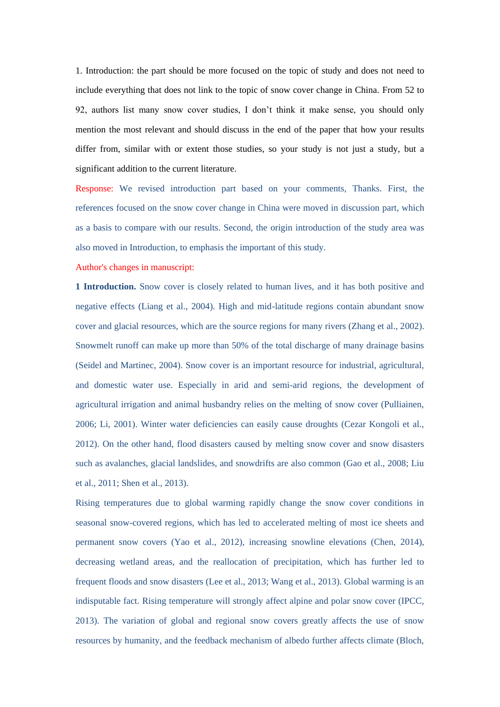1. Introduction: the part should be more focused on the topic of study and does not need to include everything that does not link to the topic of snow cover change in China. From 52 to 92, authors list many snow cover studies, I don't think it make sense, you should only mention the most relevant and should discuss in the end of the paper that how your results differ from, similar with or extent those studies, so your study is not just a study, but a significant addition to the current literature.

Response: We revised introduction part based on your comments, Thanks. First, the references focused on the snow cover change in China were moved in discussion part, which as a basis to compare with our results. Second, the origin introduction of the study area was also moved in Introduction, to emphasis the important of this study.

Author's changes in manuscript:

**1 Introduction.** Snow cover is closely related to human lives, and it has both positive and negative effects (Liang et al., 2004). High and mid-latitude regions contain abundant snow cover and glacial resources, which are the source regions for many rivers (Zhang et al., 2002). Snowmelt runoff can make up more than 50% of the total discharge of many drainage basins (Seidel and Martinec, 2004). Snow cover is an important resource for industrial, agricultural, and domestic water use. Especially in arid and semi-arid regions, the development of agricultural irrigation and animal husbandry relies on the melting of snow cover (Pulliainen, 2006; Li, 2001). Winter water deficiencies can easily cause droughts (Cezar Kongoli et al., 2012). On the other hand, flood disasters caused by melting snow cover and snow disasters such as avalanches, glacial landslides, and snowdrifts are also common (Gao et al., 2008; Liu et al., 2011; Shen et al., 2013).

Rising temperatures due to global warming rapidly change the snow cover conditions in seasonal snow-covered regions, which has led to accelerated melting of most ice sheets and permanent snow covers (Yao et al., 2012), increasing snowline elevations (Chen, 2014), decreasing wetland areas, and the reallocation of precipitation, which has further led to frequent floods and snow disasters (Lee et al., 2013; Wang et al., 2013). Global warming is an indisputable fact. Rising temperature will strongly affect alpine and polar snow cover (IPCC, 2013). The variation of global and regional snow covers greatly affects the use of snow resources by humanity, and the feedback mechanism of albedo further affects climate (Bloch,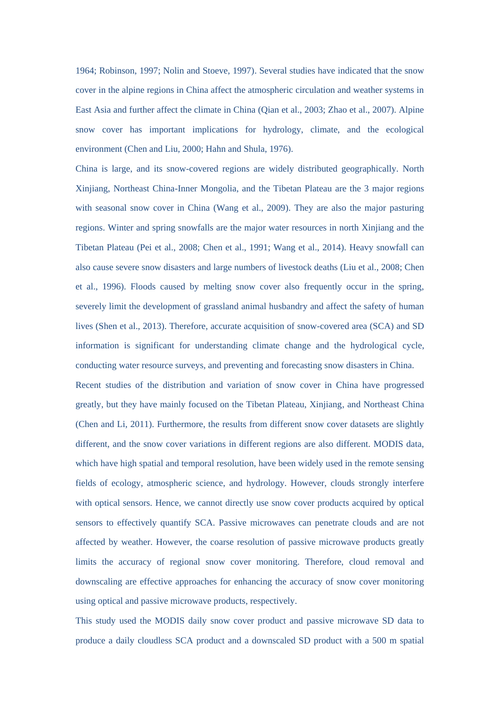1964; Robinson, 1997; Nolin and Stoeve, 1997). Several studies have indicated that the snow cover in the alpine regions in China affect the atmospheric circulation and weather systems in East Asia and further affect the climate in China (Qian et al., 2003; Zhao et al., 2007). Alpine snow cover has important implications for hydrology, climate, and the ecological environment (Chen and Liu, 2000; Hahn and Shula, 1976).

China is large, and its snow-covered regions are widely distributed geographically. North Xinjiang, Northeast China-Inner Mongolia, and the Tibetan Plateau are the 3 major regions with seasonal snow cover in China (Wang et al., 2009). They are also the major pasturing regions. Winter and spring snowfalls are the major water resources in north Xinjiang and the Tibetan Plateau (Pei et al., 2008; Chen et al., 1991; Wang et al., 2014). Heavy snowfall can also cause severe snow disasters and large numbers of livestock deaths (Liu et al., 2008; Chen et al., 1996). Floods caused by melting snow cover also frequently occur in the spring, severely limit the development of grassland animal husbandry and affect the safety of human lives (Shen et al., 2013). Therefore, accurate acquisition of snow-covered area (SCA) and SD information is significant for understanding climate change and the hydrological cycle, conducting water resource surveys, and preventing and forecasting snow disasters in China.

Recent studies of the distribution and variation of snow cover in China have progressed greatly, but they have mainly focused on the Tibetan Plateau, Xinjiang, and Northeast China (Chen and Li, 2011). Furthermore, the results from different snow cover datasets are slightly different, and the snow cover variations in different regions are also different. MODIS data, which have high spatial and temporal resolution, have been widely used in the remote sensing fields of ecology, atmospheric science, and hydrology. However, clouds strongly interfere with optical sensors. Hence, we cannot directly use snow cover products acquired by optical sensors to effectively quantify SCA. Passive microwaves can penetrate clouds and are not affected by weather. However, the coarse resolution of passive microwave products greatly limits the accuracy of regional snow cover monitoring. Therefore, cloud removal and downscaling are effective approaches for enhancing the accuracy of snow cover monitoring using optical and passive microwave products, respectively.

This study used the MODIS daily snow cover product and passive microwave SD data to produce a daily cloudless SCA product and a downscaled SD product with a 500 m spatial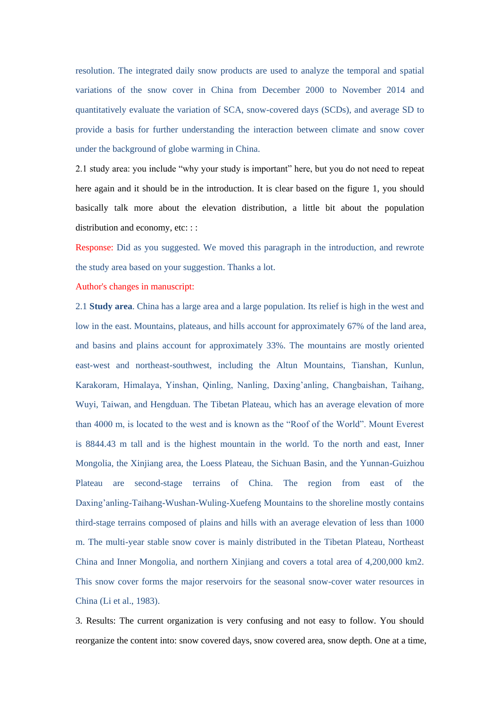resolution. The integrated daily snow products are used to analyze the temporal and spatial variations of the snow cover in China from December 2000 to November 2014 and quantitatively evaluate the variation of SCA, snow-covered days (SCDs), and average SD to provide a basis for further understanding the interaction between climate and snow cover under the background of globe warming in China.

2.1 study area: you include "why your study is important" here, but you do not need to repeat here again and it should be in the introduction. It is clear based on the figure 1, you should basically talk more about the elevation distribution, a little bit about the population distribution and economy, etc: ::

Response: Did as you suggested. We moved this paragraph in the introduction, and rewrote the study area based on your suggestion. Thanks a lot.

Author's changes in manuscript:

2.1 **Study area**. China has a large area and a large population. Its relief is high in the west and low in the east. Mountains, plateaus, and hills account for approximately 67% of the land area, and basins and plains account for approximately 33%. The mountains are mostly oriented east-west and northeast-southwest, including the Altun Mountains, Tianshan, Kunlun, Karakoram, Himalaya, Yinshan, Qinling, Nanling, Daxing'anling, Changbaishan, Taihang, Wuyi, Taiwan, and Hengduan. The Tibetan Plateau, which has an average elevation of more than 4000 m, is located to the west and is known as the "Roof of the World". Mount Everest is 8844.43 m tall and is the highest mountain in the world. To the north and east, Inner Mongolia, the Xinjiang area, the Loess Plateau, the Sichuan Basin, and the Yunnan-Guizhou Plateau are second-stage terrains of China. The region from east of the Daxing'anling-Taihang-Wushan-Wuling-Xuefeng Mountains to the shoreline mostly contains third-stage terrains composed of plains and hills with an average elevation of less than 1000 m. The multi-year stable snow cover is mainly distributed in the Tibetan Plateau, Northeast China and Inner Mongolia, and northern Xinjiang and covers a total area of 4,200,000 km2. This snow cover forms the major reservoirs for the seasonal snow-cover water resources in China (Li et al., 1983).

3. Results: The current organization is very confusing and not easy to follow. You should reorganize the content into: snow covered days, snow covered area, snow depth. One at a time,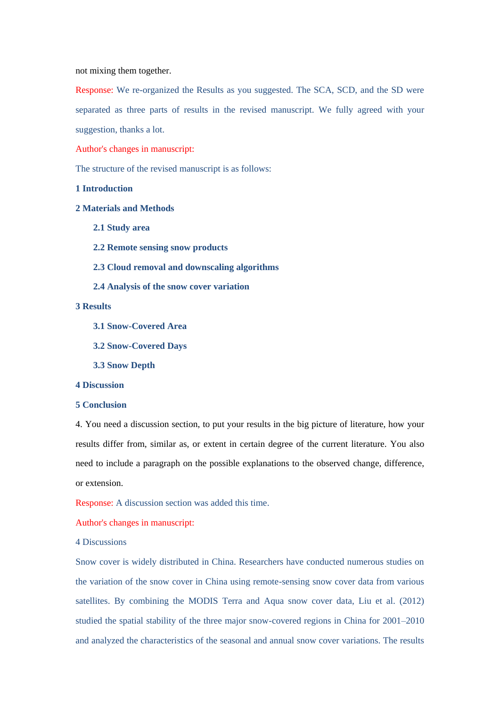### not mixing them together.

Response: We re-organized the Results as you suggested. The SCA, SCD, and the SD were separated as three parts of results in the revised manuscript. We fully agreed with your suggestion, thanks a lot.

Author's changes in manuscript:

The structure of the revised manuscript is as follows:

### **1 Introduction**

# **2 Materials and Methods**

- **2.1 Study area**
- **2.2 Remote sensing snow products**
- **2.3 Cloud removal and downscaling algorithms**
- **2.4 Analysis of the snow cover variation**

## **3 Results**

- **3.1 Snow-Covered Area**
- **3.2 Snow-Covered Days**

**3.3 Snow Depth**

### **4 Discussion**

### **5 Conclusion**

4. You need a discussion section, to put your results in the big picture of literature, how your results differ from, similar as, or extent in certain degree of the current literature. You also need to include a paragraph on the possible explanations to the observed change, difference, or extension.

Response: A discussion section was added this time.

Author's changes in manuscript:

4 Discussions

Snow cover is widely distributed in China. Researchers have conducted numerous studies on the variation of the snow cover in China using remote-sensing snow cover data from various satellites. By combining the MODIS Terra and Aqua snow cover data, Liu et al. (2012) studied the spatial stability of the three major snow-covered regions in China for 2001–2010 and analyzed the characteristics of the seasonal and annual snow cover variations. The results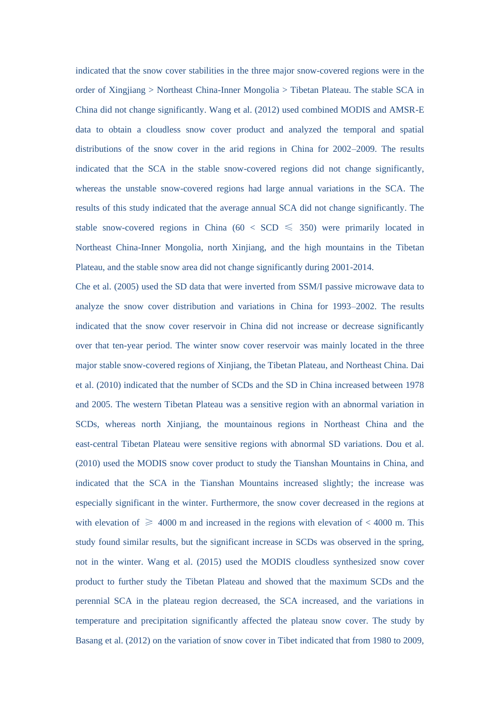indicated that the snow cover stabilities in the three major snow-covered regions were in the order of Xingjiang > Northeast China-Inner Mongolia > Tibetan Plateau. The stable SCA in China did not change significantly. Wang et al. (2012) used combined MODIS and AMSR-E data to obtain a cloudless snow cover product and analyzed the temporal and spatial distributions of the snow cover in the arid regions in China for 2002–2009. The results indicated that the SCA in the stable snow-covered regions did not change significantly, whereas the unstable snow-covered regions had large annual variations in the SCA. The results of this study indicated that the average annual SCA did not change significantly. The stable snow-covered regions in China (60 < SCD  $\leq$  350) were primarily located in Northeast China-Inner Mongolia, north Xinjiang, and the high mountains in the Tibetan Plateau, and the stable snow area did not change significantly during 2001-2014.

Che et al. (2005) used the SD data that were inverted from SSM/I passive microwave data to analyze the snow cover distribution and variations in China for 1993–2002. The results indicated that the snow cover reservoir in China did not increase or decrease significantly over that ten-year period. The winter snow cover reservoir was mainly located in the three major stable snow-covered regions of Xinjiang, the Tibetan Plateau, and Northeast China. Dai et al. (2010) indicated that the number of SCDs and the SD in China increased between 1978 and 2005. The western Tibetan Plateau was a sensitive region with an abnormal variation in SCDs, whereas north Xinjiang, the mountainous regions in Northeast China and the east-central Tibetan Plateau were sensitive regions with abnormal SD variations. Dou et al. (2010) used the MODIS snow cover product to study the Tianshan Mountains in China, and indicated that the SCA in the Tianshan Mountains increased slightly; the increase was especially significant in the winter. Furthermore, the snow cover decreased in the regions at with elevation of  $\geq 4000$  m and increased in the regions with elevation of  $< 4000$  m. This study found similar results, but the significant increase in SCDs was observed in the spring, not in the winter. Wang et al. (2015) used the MODIS cloudless synthesized snow cover product to further study the Tibetan Plateau and showed that the maximum SCDs and the perennial SCA in the plateau region decreased, the SCA increased, and the variations in temperature and precipitation significantly affected the plateau snow cover. The study by Basang et al. (2012) on the variation of snow cover in Tibet indicated that from 1980 to 2009,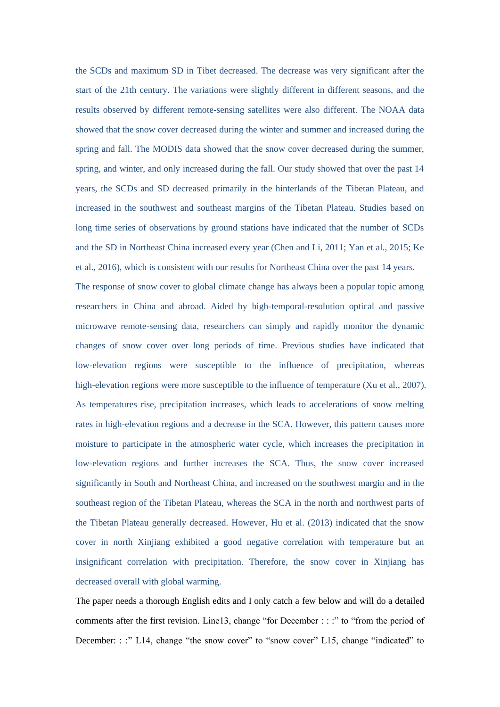the SCDs and maximum SD in Tibet decreased. The decrease was very significant after the start of the 21th century. The variations were slightly different in different seasons, and the results observed by different remote-sensing satellites were also different. The NOAA data showed that the snow cover decreased during the winter and summer and increased during the spring and fall. The MODIS data showed that the snow cover decreased during the summer, spring, and winter, and only increased during the fall. Our study showed that over the past 14 years, the SCDs and SD decreased primarily in the hinterlands of the Tibetan Plateau, and increased in the southwest and southeast margins of the Tibetan Plateau. Studies based on long time series of observations by ground stations have indicated that the number of SCDs and the SD in Northeast China increased every year (Chen and Li, 2011; Yan et al., 2015; Ke et al., 2016), which is consistent with our results for Northeast China over the past 14 years.

The response of snow cover to global climate change has always been a popular topic among researchers in China and abroad. Aided by high-temporal-resolution optical and passive microwave remote-sensing data, researchers can simply and rapidly monitor the dynamic changes of snow cover over long periods of time. Previous studies have indicated that low-elevation regions were susceptible to the influence of precipitation, whereas high-elevation regions were more susceptible to the influence of temperature (Xu et al., 2007). As temperatures rise, precipitation increases, which leads to accelerations of snow melting rates in high-elevation regions and a decrease in the SCA. However, this pattern causes more moisture to participate in the atmospheric water cycle, which increases the precipitation in low-elevation regions and further increases the SCA. Thus, the snow cover increased significantly in South and Northeast China, and increased on the southwest margin and in the southeast region of the Tibetan Plateau, whereas the SCA in the north and northwest parts of the Tibetan Plateau generally decreased. However, Hu et al. (2013) indicated that the snow cover in north Xinjiang exhibited a good negative correlation with temperature but an insignificant correlation with precipitation. Therefore, the snow cover in Xinjiang has decreased overall with global warming.

The paper needs a thorough English edits and I only catch a few below and will do a detailed comments after the first revision. Line13, change "for December : : :" to "from the period of December: : :" L14, change "the snow cover" to "snow cover" L15, change "indicated" to